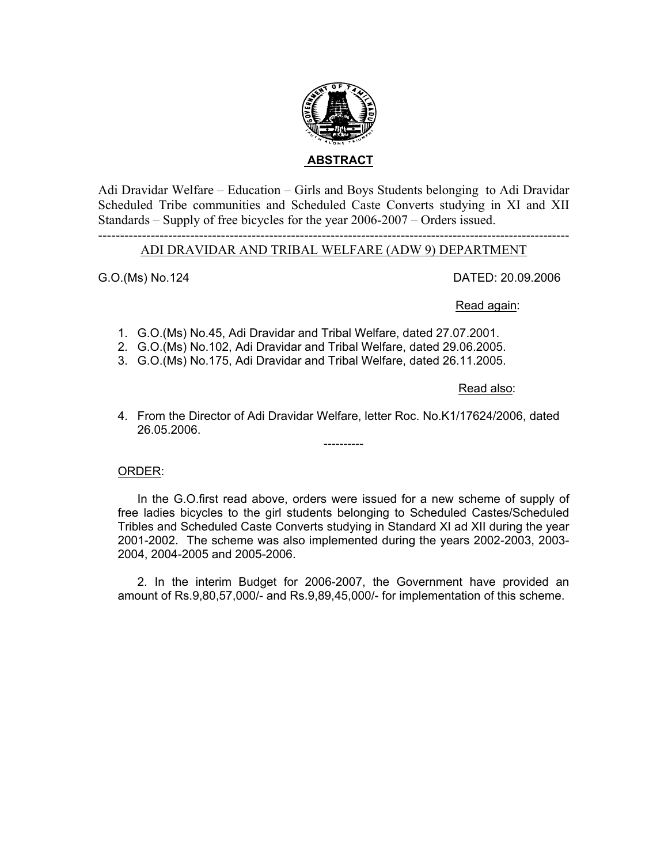

Adi Dravidar Welfare – Education – Girls and Boys Students belonging to Adi Dravidar Scheduled Tribe communities and Scheduled Caste Converts studying in XI and XII Standards – Supply of free bicycles for the year 2006-2007 – Orders issued.

# ------------------------------------------------------------------------------------------------------------ ADI DRAVIDAR AND TRIBAL WELFARE (ADW 9) DEPARTMENT

G.O.(Ms) No.124 DATED: 20.09.2006

### Read again:

- 1. G.O.(Ms) No.45, Adi Dravidar and Tribal Welfare, dated 27.07.2001.
- 2. G.O.(Ms) No.102, Adi Dravidar and Tribal Welfare, dated 29.06.2005.
- 3. G.O.(Ms) No.175, Adi Dravidar and Tribal Welfare, dated 26.11.2005.

### Read also:

4. From the Director of Adi Dravidar Welfare, letter Roc. No.K1/17624/2006, dated 26.05.2006.

----------

## ORDER:

In the G.O.first read above, orders were issued for a new scheme of supply of free ladies bicycles to the girl students belonging to Scheduled Castes/Scheduled Tribles and Scheduled Caste Converts studying in Standard XI ad XII during the year 2001-2002. The scheme was also implemented during the years 2002-2003, 2003- 2004, 2004-2005 and 2005-2006.

2. In the interim Budget for 2006-2007, the Government have provided an amount of Rs.9,80,57,000/- and Rs.9,89,45,000/- for implementation of this scheme.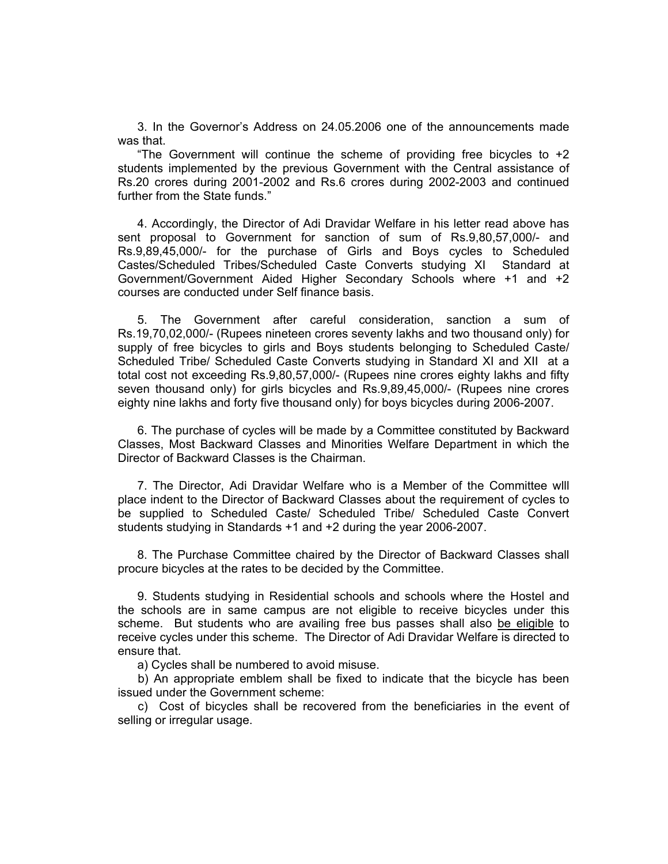3. In the Governor's Address on 24.05.2006 one of the announcements made was that.

"The Government will continue the scheme of providing free bicycles to  $+2$ students implemented by the previous Government with the Central assistance of Rs.20 crores during 2001-2002 and Rs.6 crores during 2002-2003 and continued further from the State funds."

4. Accordingly, the Director of Adi Dravidar Welfare in his letter read above has sent proposal to Government for sanction of sum of Rs.9,80,57,000/- and Rs.9,89,45,000/- for the purchase of Girls and Boys cycles to Scheduled Castes/Scheduled Tribes/Scheduled Caste Converts studying XI Standard at Government/Government Aided Higher Secondary Schools where +1 and +2 courses are conducted under Self finance basis.

5. The Government after careful consideration, sanction a sum of Rs.19,70,02,000/- (Rupees nineteen crores seventy lakhs and two thousand only) for supply of free bicycles to girls and Boys students belonging to Scheduled Caste/ Scheduled Tribe/ Scheduled Caste Converts studying in Standard XI and XII at a total cost not exceeding Rs.9,80,57,000/- (Rupees nine crores eighty lakhs and fifty seven thousand only) for girls bicycles and Rs.9,89,45,000/- (Rupees nine crores eighty nine lakhs and forty five thousand only) for boys bicycles during 2006-2007.

 6. The purchase of cycles will be made by a Committee constituted by Backward Classes, Most Backward Classes and Minorities Welfare Department in which the Director of Backward Classes is the Chairman.

 7. The Director, Adi Dravidar Welfare who is a Member of the Committee wlll place indent to the Director of Backward Classes about the requirement of cycles to be supplied to Scheduled Caste/ Scheduled Tribe/ Scheduled Caste Convert students studying in Standards +1 and +2 during the year 2006-2007.

 8. The Purchase Committee chaired by the Director of Backward Classes shall procure bicycles at the rates to be decided by the Committee.

 9. Students studying in Residential schools and schools where the Hostel and the schools are in same campus are not eligible to receive bicycles under this scheme. But students who are availing free bus passes shall also be eligible to receive cycles under this scheme. The Director of Adi Dravidar Welfare is directed to ensure that.

a) Cycles shall be numbered to avoid misuse.

 b) An appropriate emblem shall be fixed to indicate that the bicycle has been issued under the Government scheme:

 c) Cost of bicycles shall be recovered from the beneficiaries in the event of selling or irregular usage.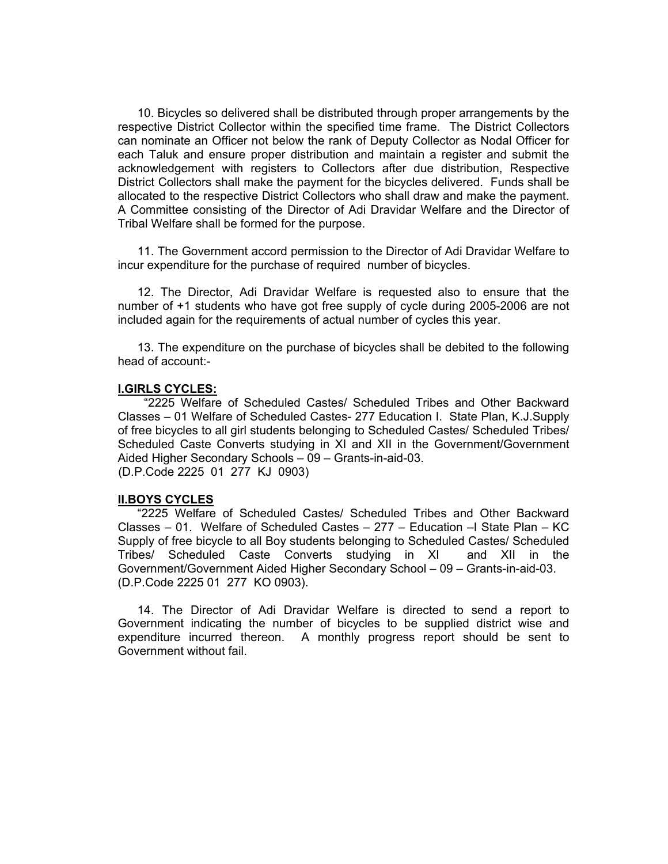10. Bicycles so delivered shall be distributed through proper arrangements by the respective District Collector within the specified time frame. The District Collectors can nominate an Officer not below the rank of Deputy Collector as Nodal Officer for each Taluk and ensure proper distribution and maintain a register and submit the acknowledgement with registers to Collectors after due distribution, Respective District Collectors shall make the payment for the bicycles delivered. Funds shall be allocated to the respective District Collectors who shall draw and make the payment. A Committee consisting of the Director of Adi Dravidar Welfare and the Director of Tribal Welfare shall be formed for the purpose.

 11. The Government accord permission to the Director of Adi Dravidar Welfare to incur expenditure for the purchase of required number of bicycles.

 12. The Director, Adi Dravidar Welfare is requested also to ensure that the number of +1 students who have got free supply of cycle during 2005-2006 are not included again for the requirements of actual number of cycles this year.

 13. The expenditure on the purchase of bicycles shall be debited to the following head of account:-

### **I.GIRLS CYCLES:**

 "2225 Welfare of Scheduled Castes/ Scheduled Tribes and Other Backward Classes – 01 Welfare of Scheduled Castes- 277 Education I. State Plan, K.J.Supply of free bicycles to all girl students belonging to Scheduled Castes/ Scheduled Tribes/ Scheduled Caste Converts studying in XI and XII in the Government/Government Aided Higher Secondary Schools – 09 – Grants-in-aid-03. (D.P.Code 2225 01 277 KJ 0903)

#### **II.BOYS CYCLES**

"2225 Welfare of Scheduled Castes/ Scheduled Tribes and Other Backward Classes – 01. Welfare of Scheduled Castes – 277 – Education –I State Plan – KC Supply of free bicycle to all Boy students belonging to Scheduled Castes/ Scheduled Tribes/ Scheduled Caste Converts studying in XI and XII in the Government/Government Aided Higher Secondary School – 09 – Grants-in-aid-03. (D.P.Code 2225 01 277 KO 0903).

 14. The Director of Adi Dravidar Welfare is directed to send a report to Government indicating the number of bicycles to be supplied district wise and expenditure incurred thereon. A monthly progress report should be sent to Government without fail.